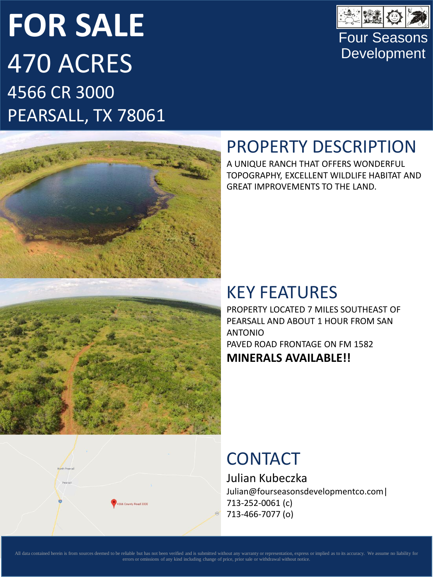# **FOR SALE** 470 ACRES 4566 CR 3000 PEARSALL, TX 78061



4566 County Road 3000



### PROPERTY DESCRIPTION

A UNIQUE RANCH THAT OFFERS WONDERFUL TOPOGRAPHY, EXCELLENT WILDLIFE HABITAT AND GREAT IMPROVEMENTS TO THE LAND.

#### KEY FEATURES

PROPERTY LOCATED 7 MILES SOUTHEAST OF PEARSALL AND ABOUT 1 HOUR FROM SAN ANTONIO PAVED ROAD FRONTAGE ON FM 1582 **MINERALS AVAILABLE!!**

### **CONTACT**

Julian Kubeczka Julian@fourseasonsdevelopmentco.com| 713-252-0061 (c) 713-466-7077 (o)

All data contained herein is from sources deemed to be reliable but has not been verified and is submitted without any warranty or representation, express or implied as to its accuracy. We assume no liability for errors or omissions of any kind including change of price, prior sale or withdrawal without notice.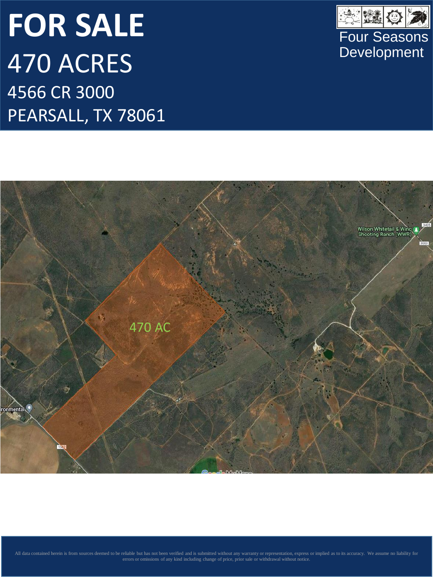# **FOR SALE** 470 ACRES 4566 CR 3000 PEARSALL, TX 78061





errors or omissions of any kind including change of price, prior sale or withdrawal without notice.